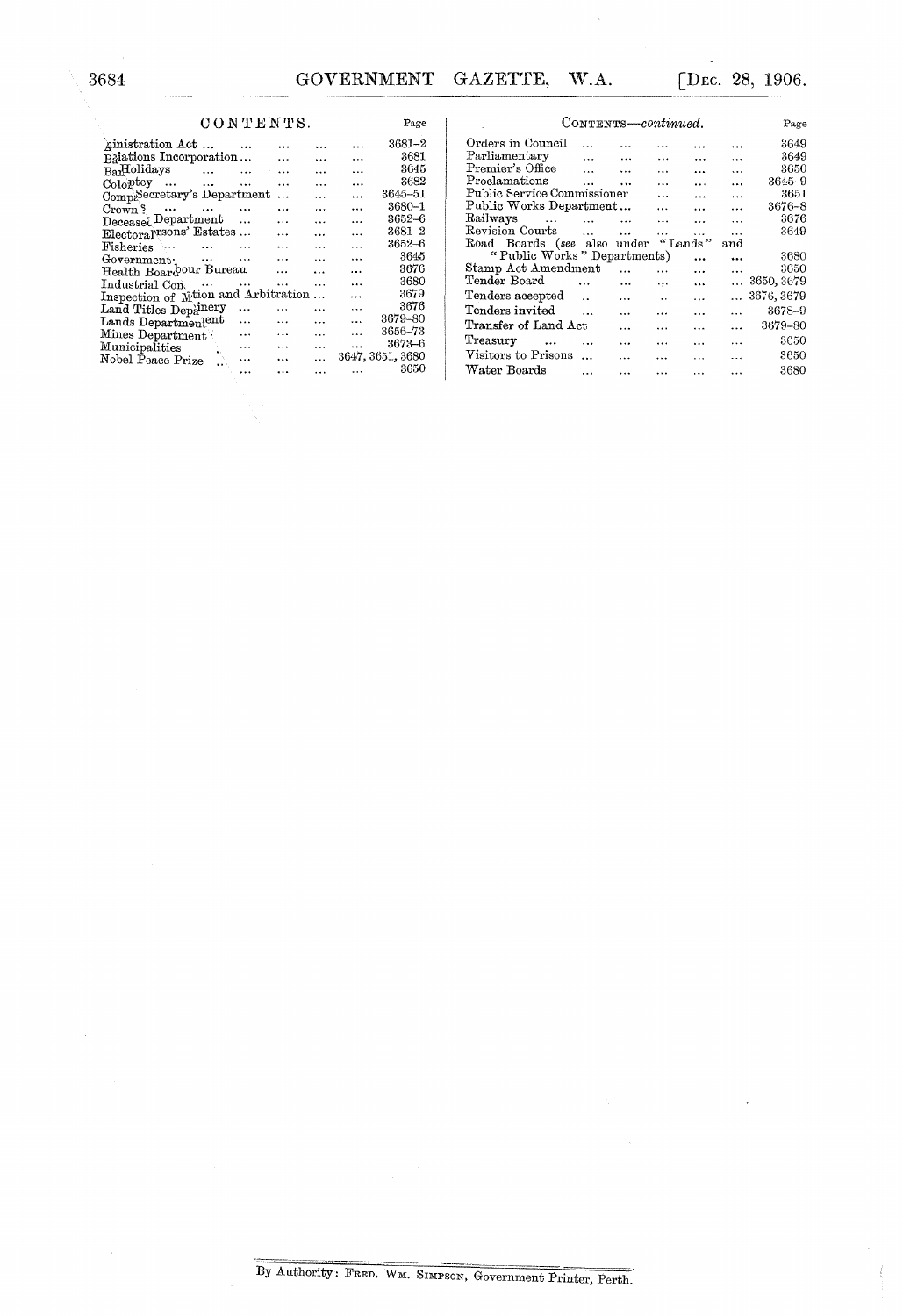Page

## $$

| <i>A</i> inistration Act            |           |                      | .         |           | 3681-2           |
|-------------------------------------|-----------|----------------------|-----------|-----------|------------------|
| Relations Incorporation             |           |                      | $\ddotsc$ |           | 3681             |
| $_{\rm Ba}$ Holidays                | $\cdots$  | $\cdots$             |           | $\ddotsc$ | 3645             |
| $\mathrm{Col}_0$ <sub>p</sub> tcy   | $\ddotsc$ | .                    |           | $\ddotsc$ | 3682             |
| CompeScretary's Department          |           |                      | $\ddotsc$ |           | 3645-51          |
| Crown $\frac{8}{3}$                 |           |                      | .         | .         | 3680–1           |
| $\text{Decease}$ Department         |           |                      | $\cdots$  | .         | 3652–6           |
| ElectoralTsons' Estates             |           |                      | $\ddotsc$ | $\ddotsc$ | $3681 - 2$       |
| Fisheries                           | $\ddotsc$ |                      | $\cdots$  | $\ddotsc$ | 3652–6           |
| Government:                         |           | $\ddot{\phantom{a}}$ | .         | $\cdots$  | 3645             |
| Health Boardour Bureau              |           |                      | .         | .         | 3676             |
| Industrial Concert                  |           | $\cdots$             | $\ddotsc$ |           | 3680             |
| Inspection of Mtion and Arbitration |           |                      | $\cdots$  | $\ddotsc$ | 3679             |
| Land Titles Depa <sup>nery</sup>    |           |                      | .         | .         | 3676             |
| Lands Department <sup>ent</sup>     |           |                      | $\ddotsc$ | $\ddotsc$ | 3679-80          |
| Mines Department .                  |           |                      |           | $\cdots$  | 3656–73          |
| Municipalities                      |           |                      | .         | .         | 3673-6           |
| Nobel Peace Prize                   |           |                      | .         |           | 3647, 3651, 3680 |
|                                     |           |                      |           |           | 3650             |

| CONTENTS-continued.          | Page         |                      |                      |           |           |            |
|------------------------------|--------------|----------------------|----------------------|-----------|-----------|------------|
| Orders in Council            | $\ddotsc$    |                      |                      |           |           | 3649       |
| Parliamentary                | $\ddotsc$    | $\ddotsc$            |                      | $\cdots$  | .         | 3649       |
| Premier's Office             | $\mathbf{1}$ | $\ddotsc$            |                      |           | $\ddotsc$ | 3650       |
| Proclamations                | $\ddotsc$    | $\cdots$             | $\ddotsc$            | $\ddotsc$ | $\ddotsc$ | $3645 - 9$ |
| Public Service Commissioner  |              |                      | $\ddotsc$            | $\ddotsc$ | $\ddotsc$ | 3651       |
| Public Works Department      |              |                      |                      | $\ddotsc$ | $\ddotsc$ | 3676–8     |
| Railways<br>$\sim$ 100 $\mu$ | $\cdots$     | $\cdots$             | $\ddotsc$            |           | .         | 3676       |
| Revision Courts              | $\ddotsc$    | $\ddot{\phantom{a}}$ | $\ddot{\phantom{a}}$ | $\cdots$  | .         | 3649       |
| Road Boards (see also under  |              |                      |                      | "Lands"   | and       |            |
| "Public Works" Departments)  |              |                      |                      | $\ddotsc$ | $\ddotsc$ | 3680       |
| Stamp Act Amendment          |              | $\ddotsc$            | $\ddotsc$            | .         |           | 3650       |
| Tender Board                 |              |                      | $\cdots$             | $\ddotsc$ | $\cdots$  | 3650, 3679 |
| Tenders accepted             |              | $\ddotsc$            | $\ddot{\phantom{a}}$ | .         |           | 3676, 3679 |
| Tenders invited              |              | $\ddotsc$            | .                    |           |           | 3678-9     |
| Transfer of Land Act         |              | .                    |                      |           |           | 3679-80    |
| Treasury<br>$\cdots$         |              | $\ddotsc$            | $\ddotsc$            |           | $\cdots$  | 3650       |
| Visitors to Prisons          | $\ddotsc$    |                      |                      |           |           | 3650       |
| Water Boards                 | .            |                      | .                    |           |           | 3680       |